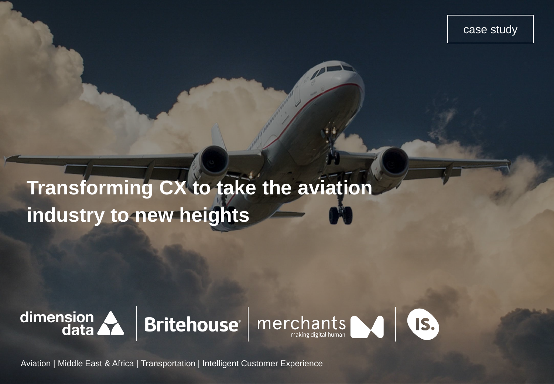case study

# **Transforming CX to take the aviation industry to new heights**







Aviation | Middle East & Africa | Transportation | Intelligent Customer Experience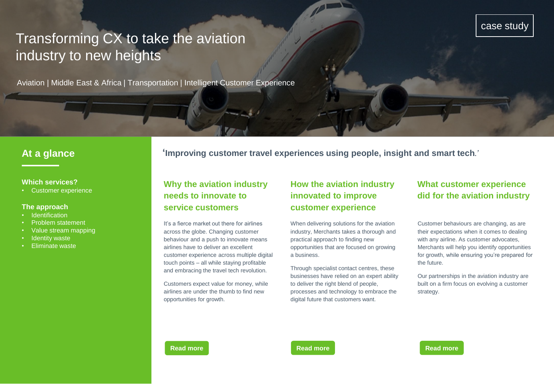# case study

# Transforming CX to take the aviation industry to new heights

Aviation | Middle East & Africa | Transportation | Intelligent Customer Experience

#### **Which services?**

• Customer experience

#### **The approach**

- **Identification**
- Problem statement
- Value stream mapping
- **Identity waste**
- Eliminate waste

**At a glance 'Improving customer travel experiences using people, insight and smart tech***.'*

## **Why the aviation industry needs to innovate to service customers**

It's a fierce market out there for airlines across the globe. Changing customer behaviour and a push to innovate means airlines have to deliver an excellent customer experience across multiple digital touch points – all while staying profitable and embracing the travel tech revolution.

Customers expect value for money, while airlines are under the thumb to find new opportunities for growth.

# **How the aviation industry innovated to improve customer experience**

When delivering solutions for the aviation industry, Merchants takes a thorough and practical approach to finding new opportunities that are focused on growing a business.

Through specialist contact centres, these businesses have relied on an expert ability to deliver the right blend of people, processes and technology to embrace the digital future that customers want.

# **What customer experience did for the aviation industry**

Customer behaviours are changing, as are their expectations when it comes to dealing with any airline. As customer advocates, Merchants will help you identify opportunities for growth, while ensuring you're prepared for the future.

Our partnerships in the aviation industry are built on a firm focus on evolving a customer strategy.